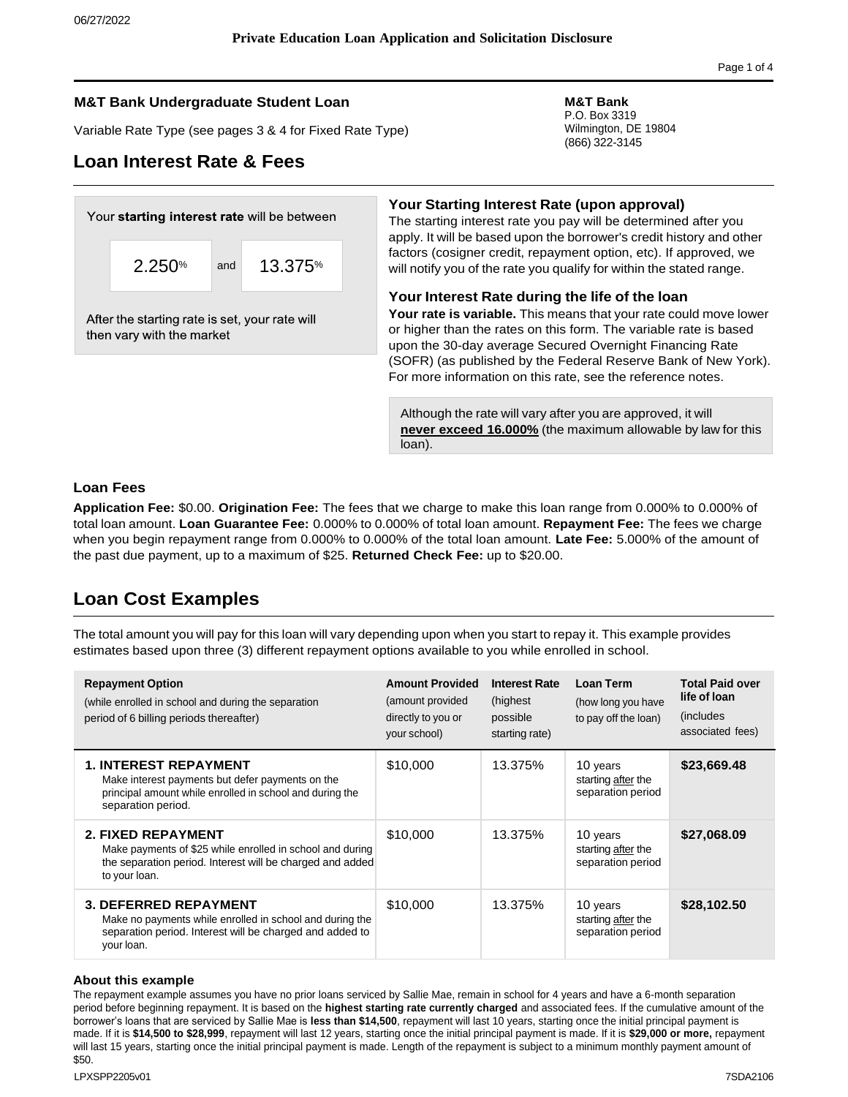## **M&T Bank Undergraduate Student Loan M&T Bank**

Variable Rate Type (see pages 3 & 4 for Fixed Rate Type)

# **Loan Interest Rate & Fees**

P.O. Box 3319 Wilmington, DE 19804 (866) 322-3145

# Your starting interest rate will be between 2.250% and 13.375%

After the starting rate is set, your rate will then vary with the market

apply. It will be based upon the borrower's credit history and other factors (cosigner credit, repayment option, etc). If approved, we will notify you of the rate you qualify for within the stated range. **Your Interest Rate during the life of the loan**

The starting interest rate you pay will be determined after you

**Your Starting Interest Rate (upon approval)**

**Your rate is variable.** This means that your rate could move lower or higher than the rates on this form. The variable rate is based upon the 30-day average Secured Overnight Financing Rate (SOFR) (as published by the Federal Reserve Bank of New York). For more information on this rate, see the reference notes.

Although the rate will vary after you are approved, it will **never exceed 16.000%** (the maximum allowable by law for this loan).

## **Loan Fees**

**Application Fee:** \$0.00. **Origination Fee:** The fees that we charge to make this loan range from 0.000% to 0.000% of total loan amount. **Loan Guarantee Fee:** 0.000% to 0.000% of total loan amount. **Repayment Fee:** The fees we charge when you begin repayment range from 0.000% to 0.000% of the total loan amount. **Late Fee:** 5.000% of the amount of the past due payment, up to a maximum of \$25. **Returned Check Fee:** up to \$20.00.

# **Loan Cost Examples**

The total amount you will pay for this loan will vary depending upon when you start to repay it. This example provides estimates based upon three (3) different repayment options available to you while enrolled in school.

| <b>Repayment Option</b><br>(while enrolled in school and during the separation<br>period of 6 billing periods thereafter)                                            | <b>Amount Provided</b><br>(amount provided<br>directly to you or<br>your school) | <b>Interest Rate</b><br>(highest)<br>possible<br>starting rate) | Loan Term<br>(how long you have<br>to pay off the loan) | <b>Total Paid over</b><br>life of loan<br><i>(includes)</i><br>associated fees) |
|----------------------------------------------------------------------------------------------------------------------------------------------------------------------|----------------------------------------------------------------------------------|-----------------------------------------------------------------|---------------------------------------------------------|---------------------------------------------------------------------------------|
| <b>1. INTEREST REPAYMENT</b><br>Make interest payments but defer payments on the<br>principal amount while enrolled in school and during the<br>separation period.   | \$10,000                                                                         | 13.375%                                                         | 10 years<br>starting after the<br>separation period     | \$23,669.48                                                                     |
| <b>2. FIXED REPAYMENT</b><br>Make payments of \$25 while enrolled in school and during<br>the separation period. Interest will be charged and added<br>to your loan. | \$10,000                                                                         | 13.375%                                                         | 10 years<br>starting after the<br>separation period     | \$27,068.09                                                                     |
| <b>3. DEFERRED REPAYMENT</b><br>Make no payments while enrolled in school and during the<br>separation period. Interest will be charged and added to<br>your loan.   | \$10,000                                                                         | 13.375%                                                         | 10 years<br>starting after the<br>separation period     | \$28,102.50                                                                     |

#### **About this example**

The repayment example assumes you have no prior loans serviced by Sallie Mae, remain in school for 4 years and have a 6-month separation period before beginning repayment. It is based on the **highest starting rate currently charged** and associated fees. If the cumulative amount of the borrower's loans that are serviced by Sallie Mae is **less than \$14,500**, repayment will last 10 years, starting once the initial principal payment is made. If it is **\$14,500 to \$28,999**, repayment will last 12 years, starting once the initial principal payment is made. If it is **\$29,000 or more,** repayment will last 15 years, starting once the initial principal payment is made. Length of the repayment is subject to a minimum monthly payment amount of \$50.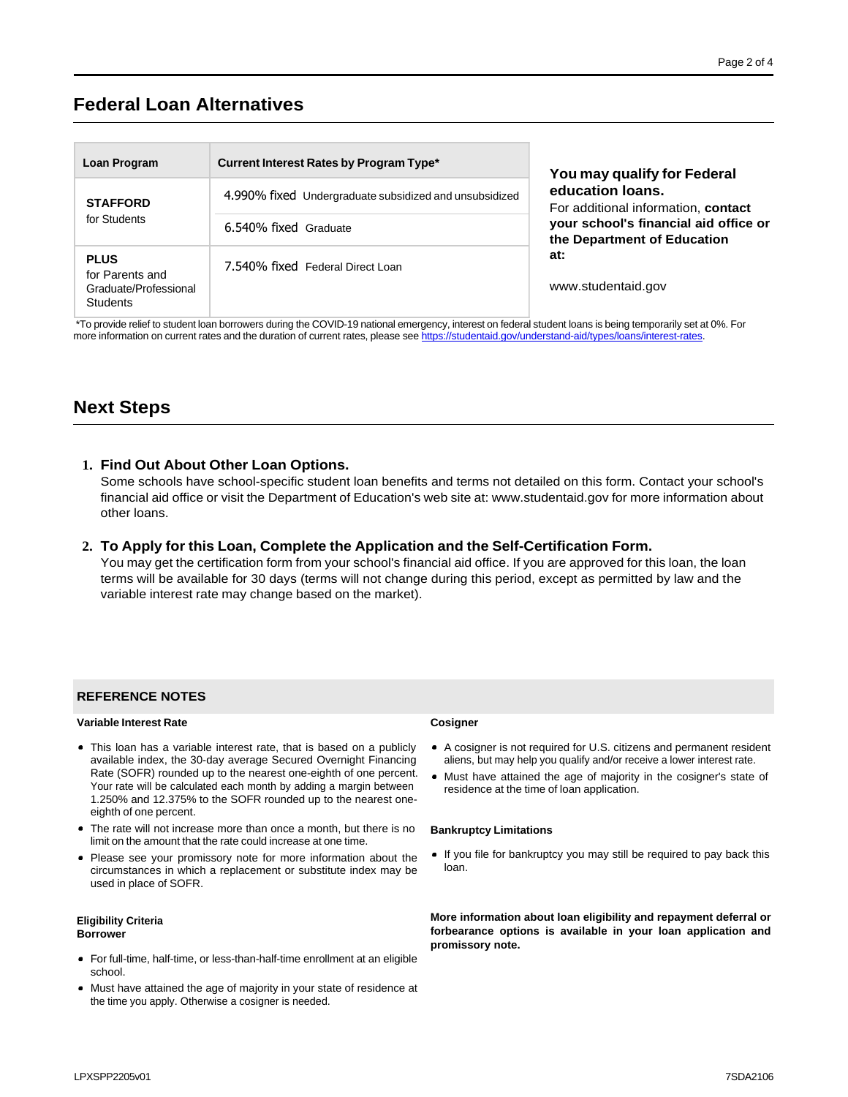# **Federal Loan Alternatives**

| Loan Program                                                               | Current Interest Rates by Program Type*                | You may qualify for Federal                                          |
|----------------------------------------------------------------------------|--------------------------------------------------------|----------------------------------------------------------------------|
| <b>STAFFORD</b><br>for Students                                            | 4.990% fixed Undergraduate subsidized and unsubsidized | education loans.<br>For additional information, contact              |
|                                                                            | 6.540% fixed Graduate                                  | your school's financial aid office or<br>the Department of Education |
| <b>PLUS</b><br>for Parents and<br>Graduate/Professional<br><b>Students</b> | 7.540% fixed Federal Direct Loan                       | at:<br>www.studentaid.gov                                            |

\*To provide relief to student loan borrowers during the COVID-19 national emergency, interest on federal student loans is being temporarily set at 0%. For more information on current rates and the duration of current rates, please see https://studentaid.gov/understand-aid/types/loans/interest-rates

# **Next Steps**

#### **1. Find Out About Other Loan Options.**

Some schools have school-specific student loan benefits and terms not detailed on this form. Contact your school's financial aid office or visit the Department of Education's web site at: [www.studentaid.gov](http://www.studentaid.gov/) for more information about other loans.

#### **2. To Apply for this Loan, Complete the Application and the Self-Certification Form.**

You may get the certification form from your school's financial aid office. If you are approved for this loan, the loan terms will be available for 30 days (terms will not change during this period, except as permitted by law and the variable interest rate may change based on the market).

#### **REFERENCE NOTES**

#### **Variable Interest Rate Cosigner**

- This loan has a variable interest rate, that is based on a publicly available index, the 30-day average Secured Overnight Financing Rate (SOFR) rounded up to the nearest one-eighth of one percent. Your rate will be calculated each month by adding a margin between 1.250% and 12.375% to the SOFR rounded up to the nearest oneeighth of one percent.
- The rate will not increase more than once a month, but there is no limit on the amount that the rate could increase at one time.
- Please see your promissory note for more information about the circumstances in which a replacement or substitute index may be used in place of SOFR.

#### **Eligibility Criteria Borrower**

- For full-time, half-time, or less-than-half-time enrollment at an eligible school.
- Must have attained the age of majority in your state of residence at the time you apply. Otherwise a cosigner is needed.

- A cosigner is not required for U.S. citizens and permanent resident aliens, but may help you qualify and/or receive a lower interest rate.
- Must have attained the age of majority in the cosigner's state of residence at the time of loan application.

#### **Bankruptcy Limitations**

• If you file for bankruptcy you may still be required to pay back this loan.

**More information about loan eligibility and repayment deferral or forbearance options is available in your loan application and promissory note.**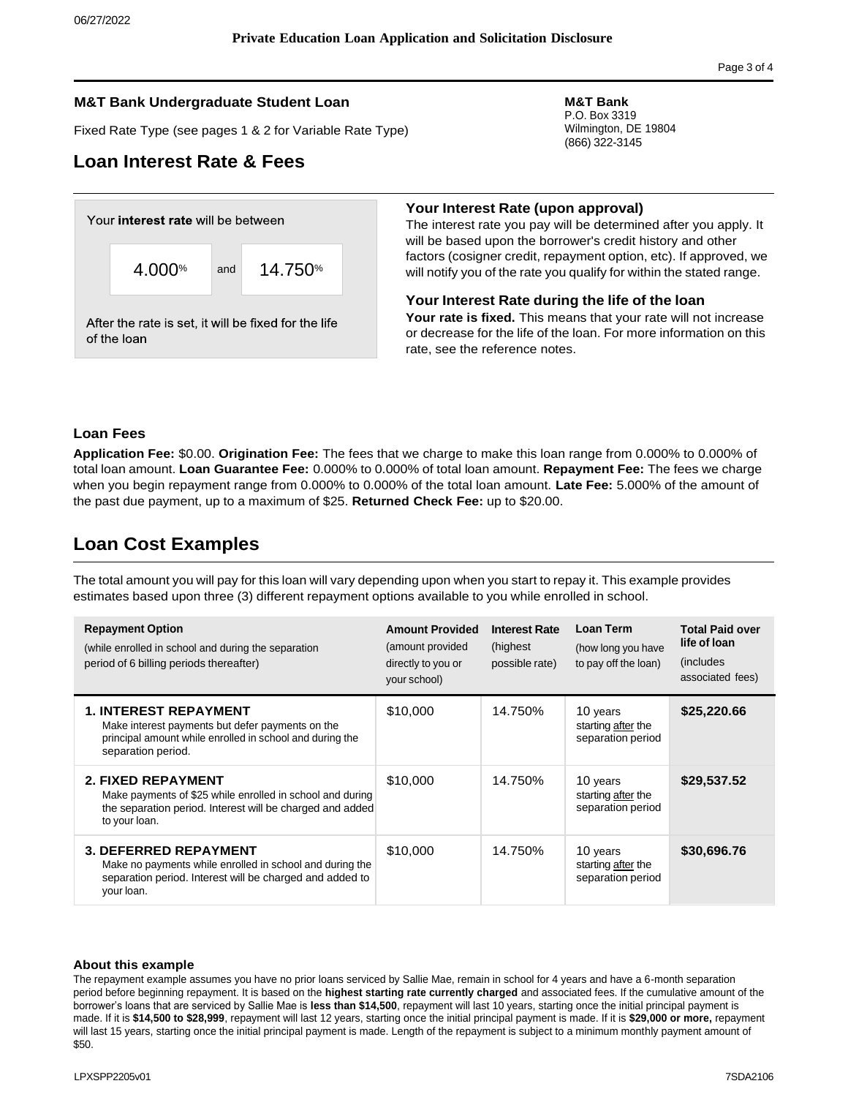### **M&T Bank Undergraduate Student Loan M&T Bank**

Fixed Rate Type (see pages 1 & 2 for Variable Rate Type)

# **Loan Interest Rate & Fees**



P.O. Box 3319 Wilmington, DE 19804 (866) 322-3145

#### **Your Interest Rate (upon approval)**

The interest rate you pay will be determined after you apply. It will be based upon the borrower's credit history and other factors (cosigner credit, repayment option, etc). If approved, we will notify you of the rate you qualify for within the stated range.

#### **Your Interest Rate during the life of the loan**

**Your rate is fixed.** This means that your rate will not increase or decrease for the life of the loan. For more information on this rate, see the reference notes.

### **Loan Fees**

**Application Fee:** \$0.00. **Origination Fee:** The fees that we charge to make this loan range from 0.000% to 0.000% of total loan amount. **Loan Guarantee Fee:** 0.000% to 0.000% of total loan amount. **Repayment Fee:** The fees we charge when you begin repayment range from 0.000% to 0.000% of the total loan amount. **Late Fee:** 5.000% of the amount of the past due payment, up to a maximum of \$25. **Returned Check Fee:** up to \$20.00.

# **Loan Cost Examples**

The total amount you will pay for this loan will vary depending upon when you start to repay it. This example provides estimates based upon three (3) different repayment options available to you while enrolled in school.

| <b>Repayment Option</b><br>(while enrolled in school and during the separation<br>period of 6 billing periods thereafter)                                            | <b>Amount Provided</b><br>(amount provided<br>directly to you or<br>your school) | <b>Interest Rate</b><br>(highest)<br>possible rate) | Loan Term<br>(how long you have<br>to pay off the loan) | <b>Total Paid over</b><br>life of loan<br><i>(includes)</i><br>associated fees) |
|----------------------------------------------------------------------------------------------------------------------------------------------------------------------|----------------------------------------------------------------------------------|-----------------------------------------------------|---------------------------------------------------------|---------------------------------------------------------------------------------|
| <b>1. INTEREST REPAYMENT</b><br>Make interest payments but defer payments on the<br>principal amount while enrolled in school and during the<br>separation period.   | \$10,000                                                                         | 14.750%                                             | 10 years<br>starting after the<br>separation period     | \$25,220.66                                                                     |
| <b>2. FIXED REPAYMENT</b><br>Make payments of \$25 while enrolled in school and during<br>the separation period. Interest will be charged and added<br>to your loan. | \$10,000                                                                         | 14.750%                                             | 10 years<br>starting after the<br>separation period     | \$29,537.52                                                                     |
| <b>3. DEFERRED REPAYMENT</b><br>Make no payments while enrolled in school and during the<br>separation period. Interest will be charged and added to<br>your loan.   | \$10,000                                                                         | 14.750%                                             | 10 years<br>starting after the<br>separation period     | \$30,696.76                                                                     |

#### **About this example**

The repayment example assumes you have no prior loans serviced by Sallie Mae, remain in school for 4 years and have a 6-month separation period before beginning repayment. It is based on the **highest starting rate currently charged** and associated fees. If the cumulative amount of the borrower's loans that are serviced by Sallie Mae is **less than \$14,500**, repayment will last 10 years, starting once the initial principal payment is made. If it is **\$14,500 to \$28,999**, repayment will last 12 years, starting once the initial principal payment is made. If it is **\$29,000 or more,** repayment will last 15 years, starting once the initial principal payment is made. Length of the repayment is subject to a minimum monthly payment amount of \$50.